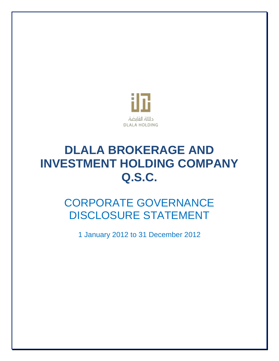

# **DLALA BROKERAGE AND INVESTMENT HOLDING COMPANY Q.S.C.**

# CORPORATE GOVERNANCE DISCLOSURE STATEMENT

1 January 2012 to 31 December 2012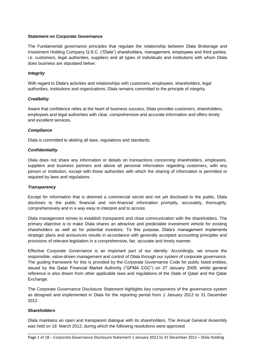#### **Statement on Corporate Governance**

The Fundamental governance principles that regulate the relationship between Dlala Brokerage and Investment Holding Company Q.S.C. ("Dlala") shareholders, management, employees and third parties, i.e. customers, legal authorities, suppliers and all types of individuals and institutions with whom Dlala does business are stipulated below:

#### *Integrity*

With regard to Dlala's activities and relationships with customers, employees, shareholders, legal authorities, institutions and organizations, Dlala remains committed to the principle of integrity.

#### *Credibility*

Aware that confidence relies at the heart of business success, Dlala provides customers, shareholders, employees and legal authorities with clear, comprehensive and accurate information and offers timely and excellent services.

#### *Compliance*

Dlala is committed to abiding all laws, regulations and standards.

#### *Confidentiality*

Dlala does not share any information or details on transactions concerning shareholders, employees, suppliers and business partners and above all personal information regarding customers, with any person or institution, except with those authorities with which the sharing of information is permitted or required by laws and regulations.

#### *Transparency*

Except for information that is deemed a commercial secret and not yet disclosed to the public, Dlala discloses to the public financial and non-financial information promptly, accurately, thoroughly, comprehensively and in a way easy to interpret and to access.

Dlala management strives to establish transparent and close communication with the shareholders. The primary objective is to make Dlala shares an attractive and predictable investment vehicle for existing shareholders as well as for potential investors. To this purpose, Dlala's management implements strategic plans and announces results in accordance with generally accepted accounting principles and provisions of relevant legislation in a comprehensive, fair, accurate and timely manner.

Effective Corporate Governance is an important part of our identity. Accordingly, we ensure the responsible, value-driven management and control of Dlala through our system of corporate governance. The guiding framework for this is provided by the Corporate Governance Code for public listed entities, issued by the Qatar Financial Market Authority ("QFMA CGC") on 27 January 2009; whilst general reference is also drawn from other applicable laws and regulations of the State of Qatar and the Qatar Exchange.

The Corporate Governance Disclosure Statement highlights key components of the governance system as designed and implemented in Dlala for the reporting period from 1 January 2012 to 31 December 2012.

#### **Shareholders**

Dlala maintains an open and transparent dialogue with its shareholders. The Annual General Assembly was held on 18 March 2012, during which the following resolutions were approved: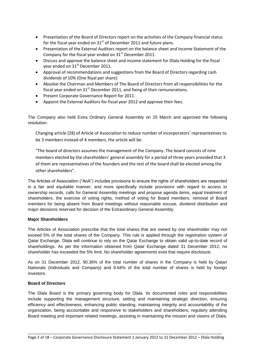- Presentation of the Board of Directors report on the activities of the Company financial status for the fiscal year ended on  $31<sup>st</sup>$  of December 2011 and future plans.
- Presentation of the External Auditors report on the balance sheet and Income Statement of the Company for the fiscal year ended on  $31<sup>st</sup>$  December 2011.
- Discuss and approve the balance sheet and income statement for Dlala Holding for the fiscal year ended on 31<sup>st</sup> December 2011.
- Approval of recommendations and suggestions from the Board of Directors regarding cash dividends of 10% (One Riyal per share).
- Absolve the Chairman and Members of The Board of Directors from all responsibilities for the fiscal year ended on  $31<sup>st</sup>$  December 2011, and fixing of their remunerations.
- **•** Present Corporate Governance Report for 2011.
- Appoint the External Auditors for fiscal year 2012 and approve their fees.

The Company also held Extra Ordinary General Assembly on 25 March and approved the following resolution:

Changing article (28) of Article of Association to reduce number of incorporators' representatives to be 3 members instead of 4 members, the article will be:

"The board of directors assumes the management of the Company. The board consists of nine members elected by the shareholders' general assembly for a period of three years provided that 3 of them are representatives of the founders and the rest of the board shall be elected among the other shareholders".

The Articles of Association ("AoA") includes provisions to ensure the rights of shareholders are respected in a fair and equitable manner, and more specifically include provisions with regard to access to ownership records, calls for General Assembly meetings and propose agenda items, equal treatment of shareholders, the exercise of voting rights, method of voting for Board members, removal of Board members for being absent from Board meetings without reasonable excuse, dividend distribution and major decisions reserved for decision of the Extraordinary General Assembly.

#### **Major Shareholders**

The Articles of Association prescribe that the total shares that are owned by one shareholder may not exceed 5% of the total shares of the Company. This rule is applied through the registration system of Qatar Exchange. Dlala will continue to rely on the Qatar Exchange to obtain valid up-to-date record of shareholdings. As per the information obtained from Qatar Exchange dated 31 December 2012, no shareholder has exceeded the 5% limit. No shareholder agreements exist that require disclosure.

As on 31 December 2012, 90.36% of the total number of shares in the Company is held by Qatari Nationals (Individuals and Company) and 9.64% of the total number of shares is held by foreign investors.

#### **Board of Directors**

The Dlala Board is the primary governing body for Dlala. Its documented roles and responsibilities include supporting the management structure, setting and maintaining strategic direction, ensuring efficiency and effectiveness, enhancing public standing, maintaining integrity and accountability of the organization, being accountable and responsive to stakeholders and shareholders, regularly attending Board meeting and important related meetings, assisting in maintaining the mission and visions of Dlala,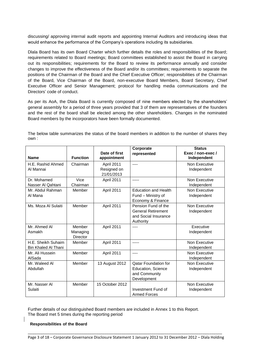discussing/ approving internal audit reports and appointing Internal Auditors and introducing ideas that would enhance the performance of the Company's operations including its subsidiaries.

Dlala Board has its own Board Charter which further details the roles and responsibilities of the Board; requirements related to Board meetings; Board committees established to assist the Board in carrying out its responsibilities; requirements for the Board to review its performance annually and consider changes to improve the effectiveness of the Board and/or its committees; requirements to separate the positions of the Chairman of the Board and the Chief Executive Officer; responsibilities of the Chairman of the Board, Vice Chairman of the Board, non-executive Board Members, Board Secretary, Chief Executive Officer and Senior Management; protocol for handling media communications and the Directors' code of conduct.

As per its AoA, the Dlala Board is currently composed of nine members elected by the shareholders' general assembly for a period of three years provided that 3 of them are representatives of the founders and the rest of the board shall be elected among the other shareholders. Changes in the nominated Board members by the incorporators have been formally documented.

The below table summarizes the status of the board members in addition to the number of shares they own :

|                                           |                                       |                                         | Corporate                                                                                | <b>Status</b>                       |
|-------------------------------------------|---------------------------------------|-----------------------------------------|------------------------------------------------------------------------------------------|-------------------------------------|
| <b>Name</b>                               | <b>Function</b>                       | Date of first<br>appointment            | represented                                                                              | Exec / non-exec /<br>Independent    |
| H.E. Rashid Ahmed<br>Al Mannai            | Chairman                              | April 2011<br>Resigned on<br>21/01/2013 | $---$                                                                                    | Non Executive<br>Independent        |
| Dr. Mohamed<br>Nasser Al Qahtani          | <b>Vice</b><br>Chairman               | April 2011                              | -----                                                                                    | Non Executive<br>Independent        |
| Mr. Abdul Rahman<br>Al Mana               | Member                                | April 2011                              | <b>Education and Health</b><br>Fund - Ministry of<br>Economy & Finance                   | Non Executive<br>Independent        |
| Ms. Moza Al Sulaiti                       | Member                                | April 2011                              | Pension Fund of the<br><b>General Retirement</b><br>and Social Insurance<br>Authority    | Non Executive<br>Independent        |
| Mr. Ahmed Al<br>Asmakh                    | Member<br>Managing<br><b>Director</b> | April 2011                              | $---$                                                                                    | Executive<br>Independent            |
| H.E. Sheikh Suhaim<br>Bin Khaled Al Thani | Member                                | April 2011                              |                                                                                          | Non Executive<br>Independent        |
| Mr. Ali Hussein<br>AlSada                 | Member                                | April 2011                              | $---$                                                                                    | Non Executive<br>Independent        |
| Mr. Waleed Al<br>Abdullah                 | Member                                | 13 August 2012                          | <b>Qatar Foundation for</b><br><b>Education, Science</b><br>and Community<br>Development | <b>Non Executive</b><br>Independent |
| Mr. Nasser Al<br>Sulaiti                  | Member                                | 15 October 2012                         | Investment Fund of<br><b>Armed Forces</b>                                                | Non Executive<br>Independent        |

Further details of our distinguished Board members are included in Annex 1 to this Report. The Board met 5 times during the reporting period

**Responsibilities of the Board**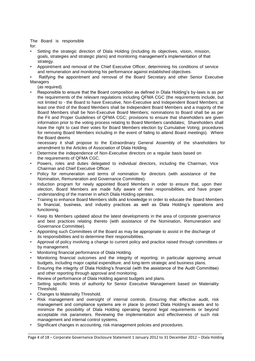The Board is responsible for:

- Setting the strategic direction of Dlala Holding (including its objectives, vision, mission, goals, strategies and strategic plans) and monitoring management's implementation of that strategy.
- Appointment and removal of the Chief Executive Officer, determining his conditions of service and remuneration and monitoring his performance against established objectives.
- Ratifying the appointment and removal of the Board Secretary and other Senior Executive Managers
	- (as required).
- Responsible to ensure that the Board composition as defined in Dlala Holding's by-laws is as per the requirements of the relevant regulations including QFMA CGC (the requirements include, but not limited to - the Board to have Executive, Non-Executive and Independent Board Members; at least one third of the Board Members shall be Independent Board Members and a majority of the Board Members shall be Non-Executive Board Members; nominations to Board shall be as per the Fit and Proper Guidelines of QFMA CGC; provisions to ensure that shareholders are given information prior to the voting process relating to Board Members candidates; Shareholders shall have the right to cast their votes for Board Members election by Cumulative Voting; procedures for removing Board Members including in the event of failing to attend Board meetings). Where the Board deems

necessary it shall propose to the Extraordinary General Assembly of the shareholders for amendment to the Articles of Association of Dlala Holding.

- Determine the independence of Non-Executive directors on a regular basis based on the requirements of QFMA CGC.
- Powers, roles and duties delegated to individual directors, including the Chairman, Vice Chairman and Chief Executive Officer.
- Policy for remuneration and terms of nomination for directors (with assistance of the Nomination, Remuneration and Governance Committee).
- Induction program for newly appointed Board Members in order to ensure that, upon their election, Board Members are made fully aware of their responsibilities, and have proper understanding of the manner in which Dlala Holding operates.
- Training to enhance Board Members skills and knowledge in order to educate the Board Members in financial, business, and industry practices as well as Dlala Holding's operations and functioning.
- Keep its Members updated about the latest developments in the area of corporate governance and best practices relating thereto (with assistance of the Nomination, Remuneration and Governance Committee).
- Appointing such Committees of the Board as may be appropriate to assist in the discharge of its responsibilities and to determine their responsibilities.
- Approval of policy involving a change to current policy and practice raised through committees or by management.
- Monitoring financial performance of Dlala Holding.
- Monitoring financial outcomes and the integrity of reporting; in particular approving annual budgets, including major capital expenditure, and long-term strategic and business plans.
- Ensuring the integrity of Dlala Holding's financial (with the assistance of the Audit Committee) and other reporting through approval and monitoring.
- Review of performance of Dlala Holding against budgets and plans.
- Setting specific limits of authority for Senior Executive Management based on Materiality Threshold.
- Changes to Materiality Threshold.
- Risk management and oversight of internal controls. Ensuring that effective audit, risk management and compliance systems are in place to protect Dlala Holding's assets and to minimize the possibility of Dlala Holding operating beyond legal requirements or beyond acceptable risk parameters. Reviewing the implementation and effectiveness of such risk management and internal control systems.
- Significant changes in accounting, risk management policies and procedures.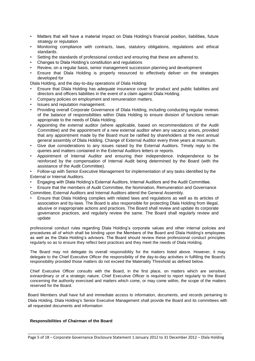- Matters that will have a material impact on Dlala Holding's financial position, liabilities, future strategy or reputation
- Monitoring compliance with contracts, laws, statutory obligations, regulations and ethical standards.
- Setting the standards of professional conduct and ensuring that these are adhered to.
- Changes to Dlala Holding's constitution and regulations
- Review, on a regular basis, senior management succession planning and development
- Ensure that Dlala Holding is properly resourced to effectively deliver on the strategies developed for

Dlala Holding, and the day-to-day operations of Dlala Holding

- Ensure that Dlala Holding has adequate insurance cover for product and public liabilities and directors and officers liabilities in the event of a claim against Dlala Holding.
- Company policies on employment and remuneration matters.
- Issues and reputation management.
- Providing overall Corporate Governance of Dlala Holding, including conducting regular reviews of the balance of responsibilities within Dlala Holding to ensure division of functions remain appropriate to the needs of Dlala Holding.
- Appointing the external auditor (where applicable, based on recommendations of the Audit Committee) and the appointment of a new external auditor when any vacancy arises, provided that any appointment made by the Board must be ratified by shareholders at the next annual general assembly of Dlala Holding. Change of External Auditor every three years at maximum.
- Give due considerations to any issues raised by the External Auditors. Timely reply to the queries and matters contained in the External Auditors letters or reports.
- Appointment of Internal Auditor and ensuring their independence. Independence to be reinforced by the compensation of Internal Audit being determined by the Board (with the assistance of the Audit Committee).
- Follow-up with Senior Executive Management for implementation of any tasks identified by the External or Internal Auditors.
- Engaging with Dlala Holding's External Auditors, Internal Auditors and the Audit Committee.
- Ensure that the members of Audit Committee, the Nomination, Remuneration and Governance Committee, External Auditors and Internal Auditors attend the General Assembly.
- Ensure that Dlala Holding complies with related laws and regulations as well as its articles of association and by-laws. The Board is also responsible for protecting Dlala Holding from illegal, abusive or inappropriate actions and practices. The Board shall review and update its corporate governance practices, and regularly review the same. The Board shall regularly review and update

professional conduct rules regarding Dlala Holding's corporate values and other internal policies and procedures all of which shall be binding upon the Members of the Board and Dlala Holding's employees as well as the Dlala Holding's advisors. The Board should review these professional conduct principles regularly so as to ensure they reflect best practices and they meet the needs of Dlala Holding.

The Board may not delegate its overall responsibility for the matters listed above. However, it may delegate to the Chief Executive Officer the responsibility of the day-to-day activities in fulfilling the Board's responsibility provided those matters do not exceed the Materiality Threshold as defined below.

Chief Executive Officer consults with the Board, in the first place, on matters which are sensitive, extraordinary or of a strategic nature. Chief Executive Officer is required to report regularly to the Board concerning the authority exercised and matters which come, or may come within, the scope of the matters reserved for the Board.

Board Members shall have full and immediate access to information, documents, and records pertaining to Dlala Holding. Dlala Holding's Senior Executive Management shall provide the Board and its committees with all requested documents and information

#### **Responsibilities of Chairman of the Board**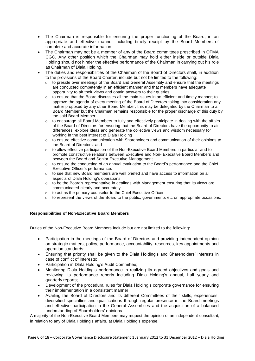- The Chairman is responsible for ensuring the proper functioning of the Board; in an appropriate and effective manner including timely receipt by the Board Members of complete and accurate information.
- The Chairman may not be a member of any of the Board committees prescribed in QFMA CGC. Any other position which the Chairman may hold either inside or outside Dlala Holding should not hinder the effective performance of the Chairman in carrying out his role as Chairman of Dlala Holding.
- The duties and responsibilities of the Chairman of the Board of Directors shall, in addition to the provisions of the Board Charter, include but not be limited to the following:
	- o to preside over meetings of the Board and General Assembly and ensure that the meetings are conducted competently in an efficient manner and that members have adequate opportunity to air their views and obtain answers to their queries.
	- $\circ$  to ensure that the Board discusses all the main issues in an efficient and timely manner; to approve the agenda of every meeting of the Board of Directors taking into consideration any matter proposed by any other Board Member; this may be delegated by the Chairman to a Board Member but the Chairman remains responsible for the proper discharge of this duty by the said Board Member
	- $\circ$  to encourage all Board Members to fully and effectively participate in dealing with the affairs of the Board of Directors for ensuring that the Board of Directors have the opportunity to air differences, explore ideas and generate the collective views and wisdom necessary for working in the best interest of Dlala Holding
	- o to ensure effective communication with Shareholders and communication of their opinions to the Board of Directors; and
	- $\circ$  to allow effective participation of the Non-Executive Board Members in particular and to promote constructive relations between Executive and Non- Executive Board Members and between the Board and Senior Executive Management.
	- $\circ$  to ensure the conducting of an annual evaluation to the Board's performance and the Chief Executive Officer's performance.
	- $\circ$  to see that new Board members are well briefed and have access to information on all aspects of Dlala Holding's operations.
	- $\circ$  to be the Board's representative in dealings with Management ensuring that its views are communicated clearly and accurately
	- o to act as the primary counselor to the Chief Executive Officer
	- $\circ$  to represent the views of the Board to the public, governments etc on appropriate occasions.

#### **Responsibilities of Non-Executive Board Members**

Duties of the Non-Executive Board Members include but are not limited to the following:

- Participation in the meetings of the Board of Directors and providing independent opinion on strategic matters, policy, performance, accountability, resources, key appointments and operation standards;
- Ensuring that priority shall be given to the Dlala Holding's and Shareholders' interests in case of conflict of interests;
- Participation in Dlala Holding's Audit Committee;
- Monitoring Dlala Holding's performance in realizing its agreed objectives and goals and reviewing its performance reports including Dlala Holding's annual, half yearly and quarterly reports;
- Development of the procedural rules for Dlala Holding's corporate governance for ensuring their implementation in a consistent manner
- Availing the Board of Directors and its different Committees of their skills, experiences, diversified specialties and qualifications through regular presence in the Board meetings and effective participation in the General Assemblies and the acquisition of a balanced understanding of Shareholders' opinions.

A majority of the Non-Executive Board Members may request the opinion of an independent consultant, in relation to any of Dlala Holding's affairs, at Dlala Holding's expense.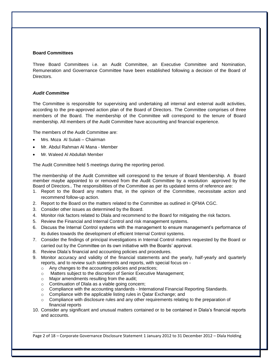#### **Board Committees**

Three Board Committees i.e. an Audit Committee, an Executive Committee and Nomination, Remuneration and Governance Committee have been established following a decision of the Board of **Directors** 

#### *Audit Committee*

The Committee is responsible for supervising and undertaking all internal and external audit activities, according to the pre-approved action plan of the Board of Directors. The Committee comprises of three members of the Board. The membership of the Committee will correspond to the tenure of Board membership. All members of the Audit Committee have accounting and financial experience.

The members of the Audit Committee are:

- Mrs. Moza Al Sulaiti Chairman
- Mr. Abdul Rahman Al Mana Member
- Mr. Waleed Al Abdullah Member

The Audit Committee held 5 meetings during the reporting period.

The membership of the Audit Committee will correspond to the tenure of Board Membership. A Board member maybe appointed to or removed from the Audit Committee by a resolution approved by the Board of Directors.. The responsibilities of the Committee as per its updated terms of reference are:

- 1. Report to the Board any matters that, in the opinion of the Committee, necessitate action and recommend follow-up action.
- 2. Report to the Board on the matters related to the Committee as outlined in QFMA CGC.
- 3. Consider other issues as determined by the Board.
- 4. Monitor risk factors related to Dlala and recommend to the Board for mitigating the risk factors.
- 5. Review the Financial and Internal Control and risk management systems.
- 6. Discuss the Internal Control systems with the management to ensure management's performance of its duties towards the development of efficient Internal Control systems.
- 7. Consider the findings of principal investigations in Internal Control matters requested by the Board or carried out by the Committee on its own initiative with the Boards' approval.
- 8. Review Dlala's financial and accounting policies and procedures.
- 9. Monitor accuracy and validity of the financial statements and the yearly, half-yearly and quarterly reports, and to review such statements and reports, with special focus on
	- o Any changes to the accounting policies and practices;
	- o Matters subject to the discretion of Senior Executive Management;
	- o Major amendments resulting from the audit;
	- o Continuation of Dlala as a viable going concern;
	- $\circ$  Compliance with the accounting standards International Financial Reporting Standards.
	- o Compliance with the applicable listing rules in Qatar Exchange; and
	- $\circ$  Compliance with disclosure rules and any other requirements relating to the preparation of financial reports
- 10. Consider any significant and unusual matters contained or to be contained in Dlala's financial reports and accounts.

\_\_\_\_\_\_\_\_\_\_\_\_\_\_\_\_\_\_\_\_\_\_\_\_\_\_\_\_\_\_\_\_\_\_\_\_\_\_\_\_\_\_\_\_\_\_\_\_\_\_\_\_\_\_\_\_\_\_\_\_\_\_\_\_\_\_\_\_\_\_\_\_\_\_\_\_\_\_\_\_\_\_\_\_\_\_\_\_\_\_\_ Page 2 of 18 – Corporate Governance Disclosure Statement 1 January 2012 to 31 December 2012 – Dlala Holding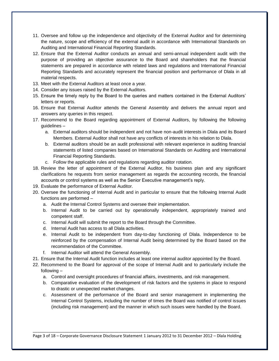- 11. Oversee and follow up the independence and objectivity of the External Auditor and for determining the nature, scope and efficiency of the external audit in accordance with International Standards on Auditing and International Financial Reporting Standards.
- 12. Ensure that the External Auditor conducts an annual and semi-annual independent audit with the purpose of providing an objective assurance to the Board and shareholders that the financial statements are prepared in accordance with related laws and regulations and International Financial Reporting Standards and accurately represent the financial position and performance of Dlala in all material respects.
- 13. Meet with the External Auditors at least once a year.
- 14. Consider any issues raised by the External Auditors.
- 15. Ensure the timely reply by the Board to the queries and matters contained in the External Auditors' letters or reports.
- 16. Ensure that External Auditor attends the General Assembly and delivers the annual report and answers any queries in this respect.
- 17. Recommend to the Board regarding appointment of External Auditors, by following the following guidelines –
	- a. External auditors should be independent and not have non-audit interests in Dlala and its Board Members. External Auditor shall not have any conflicts of interests in his relation to Dlala.
	- b. External auditors should be an audit professional with relevant experience in auditing financial statements of listed companies based on International Standards on Auditing and International Financial Reporting Standards.
	- c. Follow the applicable rules and regulations regarding auditor rotation.
- 18. Review the letter of appointment of the External Auditor, his business plan and any significant clarifications he requests from senior management as regards the accounting records, the financial accounts or control systems as well as the Senior Executive management's reply.
- 19. Evaluate the performance of External Auditor.
- 20. Oversee the functioning of Internal Audit and in particular to ensure that the following Internal Audit functions are performed –
	- a. Audit the Internal Control Systems and oversee their implementation.
	- b. Internal Audit to be carried out by operationally independent, appropriately trained and competent staff.
	- c. Internal Audit will submit the report to the Board through the Committee.
	- d. Internal Audit has access to all Dlala activities.
	- e. Internal Audit to be independent from day-to-day functioning of Dlala. Independence to be reinforced by the compensation of Internal Audit being determined by the Board based on the recommendation of the Committee.
	- f. Internal Auditor will attend the General Assembly.
- 21. Ensure that the Internal Audit function includes at least one internal auditor appointed by the Board.
- 22. Recommend to the Board for approval of the scope of Internal Audit and to particularly include the following –
	- a. Control and oversight procedures of financial affairs, investments, and risk management.
	- b. Comparative evaluation of the development of risk factors and the systems in place to respond to drastic or unexpected market changes.
	- c. Assessment of the performance of the Board and senior management in implementing the Internal Control Systems, including the number of times the Board was notified of control issues (including risk management) and the manner in which such issues were handled by the Board.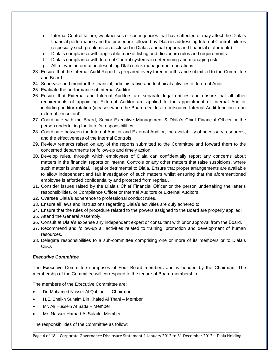- d. Internal Control failure, weaknesses or contingencies that have affected or may affect the Dlala's financial performance and the procedure followed by Dlala in addressing Internal Control failures (especially such problems as disclosed in Dlala's annual reports and financial statements).
- e. Dlala's compliance with applicable market listing and disclosure rules and requirements.
- f. Dlala's compliance with Internal Control systems in determining and managing risk.
- g. All relevant information describing Dlala's risk management operations.
- 23. Ensure that the Internal Audit Report is prepared every three months and submitted to the Committee and Board.
- 24. Supervise and monitor the financial, administrative and technical activities of Internal Audit.
- 25. Evaluate the performance of Internal Auditor.
- 26. Ensure that External and Internal Auditors are separate legal entities and ensure that all other requirements of appointing External Auditor are applied to the appointment of Internal Auditor including auditor rotation (incases when the Board decides to outsource Internal Audit function to an external consultant)
- 27. Coordinate with the Board, Senior Executive Management & Dlala's Chief Financial Officer or the person undertaking the latter's responsibilities.
- 28. Coordinate between the Internal Auditor and External Auditor, the availability of necessary resources, and the effectiveness of the Internal Controls.
- 29. Review remarks raised on any of the reports submitted to the Committee and forward them to the concerned departments for follow-up and timely action.
- 30. Develop rules, through which employees of Dlala can confidentially report any concerns about matters in the financial reports or Internal Controls or any other matters that raise suspicions, where such matter is unethical, illegal or detrimental to Dlala. Ensure that proper arrangements are available to allow independent and fair investigation of such matters whilst ensuring that the aforementioned employee is afforded confidentiality and protected from reprisal.
- 31. Consider issues raised by the Dlala's Chief Financial Officer or the person undertaking the latter's responsibilities, or Compliance Officer or Internal Auditors or External Auditors.
- 32. Oversee Dlala's adherence to professional conduct rules.
- 33. Ensure all laws and instructions regarding Dlala's activities are duly adhered to.
- 34. Ensure that the rules of procedure related to the powers assigned to the Board are properly applied;
- 35. Attend the General Assembly.
- 36. Consult at Dlala's expense any independent expert or consultant with prior approval from the Board.
- 37. Recommend and follow-up all activities related to training, promotion and development of human resources.
- 38. Delegate responsibilities to a sub-committee comprising one or more of its members or to Dlala's CEO.

#### *Executive Committee*

The Executive Committee comprises of Four Board members and is headed by the Chairman. The membership of the Committee will correspond to the tenure of Board membership.

The members of the Executive Committee are:

- Dr. Mohamed Nasser Al Qahtani Chairman
- H.E. Sheikh Suhaim Bin Khaled Al Thani Member
- Mr. Ali Hussein Al Sada Member
- Mr. Nasser Hamad Al Sulaiti– Member

The responsibilities of the Committee as follow:

\_\_\_\_\_\_\_\_\_\_\_\_\_\_\_\_\_\_\_\_\_\_\_\_\_\_\_\_\_\_\_\_\_\_\_\_\_\_\_\_\_\_\_\_\_\_\_\_\_\_\_\_\_\_\_\_\_\_\_\_\_\_\_\_\_\_\_\_\_\_\_\_\_\_\_\_\_\_\_\_\_\_\_\_\_\_\_\_\_\_\_ Page 4 of 18 – Corporate Governance Disclosure Statement 1 January 2012 to 31 December 2012 – Dlala Holding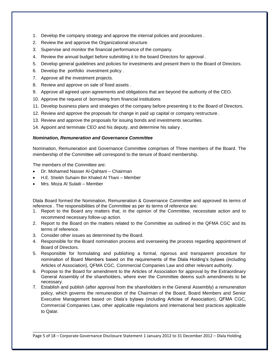- 1. Develop the company strategy and approve the internal policies and procedures .
- 2. Review the and approve the Organizational structure.
- 3. Supervise and monitor the financial performance of the company.
- 4. Review the annual budget before submitting it to the board Directors for approval .
- 5. Develop general guidelines and policies for investments and present them to the Board of Directors.
- 6. Develop the portfolio investment policy .
- 7. Approve all the investment projects.
- 8. Review and approve on sale of fixed assets .
- 9. Approve all agreed upon agreements and obligations that are beyond the authority of the CEO.
- 10. Approve the request of borrowing from financial institutions
- 11. Develop business plans and strategies of the company before presenting it to the Board of Directors.
- 12. Review and approve the proposals for change in paid up capital or company restructure .
- 13. Review and approve the proposals for issuing bonds and investments securities.
- 14. Appoint and terminate CEO and his deputy, and determine his salary .

#### *Nomination, Remuneration and Governance Committee*

Nomination, Remuneration and Governance Committee comprises of Three members of the Board. The membership of the Committee will correspond to the tenure of Board membership.

The members of the Committee are:

- Dr. Mohamed Nasser Al-Qahtani Chairman
- H.E. Sheikh Suhaim Bin Khaled Al Thani Member
- Mrs. Moza Al Sulaiti Member

Dlala Board formed the Nomination, Remuneration & Governance Committee and approved its terms of reference . The responsibilities of the Committee as per its terms of reference are:

- 1. Report to the Board any matters that, in the opinion of the Committee, necessitate action and to recommend necessary follow-up action.
- 2. Report to the Board on the matters related to the Committee as outlined in the QFMA CGC and its terms of reference.
- 3. Consider other issues as determined by the Board.
- 4. Responsible for the Board nomination process and overseeing the process regarding appointment of Board of Directors.
- 5. Responsible for formulating and publishing a formal, rigorous and transparent procedure for nomination of Board Members based on the requirements of the Dlala Holding's bylaws (including Articles of Association), QFMA CGC, Commercial Companies Law and other relevant authority.
- 6. Propose to the Board for amendment to the Articles of Association for approval by the Extraordinary General Assembly of the shareholders, where ever the Committee deems such amendments to be necessary.
- 7. Establish and publish (after approval from the shareholders in the General Assembly) a remuneration policy, which governs the remuneration of the Chairman of the Board, Board Members and Senior Executive Management based on Dlala's bylaws (including Articles of Association), QFMA CGC, Commercial Companies Law, other applicable regulations and international best practices applicable to Qatar.

\_\_\_\_\_\_\_\_\_\_\_\_\_\_\_\_\_\_\_\_\_\_\_\_\_\_\_\_\_\_\_\_\_\_\_\_\_\_\_\_\_\_\_\_\_\_\_\_\_\_\_\_\_\_\_\_\_\_\_\_\_\_\_\_\_\_\_\_\_\_\_\_\_\_\_\_\_\_\_\_\_\_\_\_\_\_\_\_\_\_\_ Page 5 of 18 – Corporate Governance Disclosure Statement 1 January 2012 to 31 December 2012 – Dlala Holding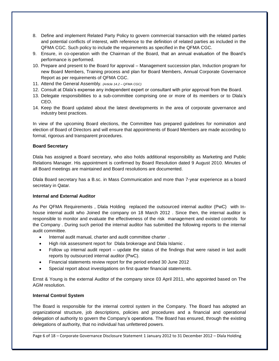- 8. Define and implement Related Party Policy to govern commercial transaction with the related parties and potential conflicts of interest, with reference to the definition of related parties as included in the QFMA CGC. Such policy to include the requirements as specified in the QFMA CGC.
- 9. Ensure, in co-operation with the Chairman of the Board, that an annual evaluation of the Board's performance is performed.
- 10. Prepare and present to the Board for approval Management succession plan, Induction program for new Board Members, Training process and plan for Board Members, Annual Corporate Governance Report as per requirements of QFMA CGC.
- 11. Attend the General Assembly. *(Article 14.2 – QFMA CGC)*
- 12. Consult at Dlala's expense any independent expert or consultant with prior approval from the Board.
- 13. Delegate responsibilities to a sub-committee comprising one or more of its members or to Dlala's CEO.
- 14. Keep the Board updated about the latest developments in the area of corporate governance and industry best practices.

In view of the upcoming Board elections, the Committee has prepared guidelines for nomination and election of Board of Directors and will ensure that appointments of Board Members are made according to formal, rigorous and transparent procedures.

#### **Board Secretary**

Dlala has assigned a Board secretary, who also holds additional responsibility as Marketing and Public Relations Manager. His appointment is confirmed by Board Resolution dated 9 August 2010. Minutes of all Board meetings are maintained and Board resolutions are documented.

Dlala Board secretary has a B.sc. in Mass Communication and more than 7-year experience as a board secretary in Qatar.

#### **Internal and External Auditor**

As Per QFMA Requirements , Dlala Holding replaced the outsourced internal auditor (PwC) with Inhouse internal audit who Joined the company on 18 March 2012 . Since then, the internal auditor is responsible to monitor and evaluate the effectiveness of the risk management and existed controls for the Company . During such period the internal auditor has submitted the following reports to the internal audit committee.

- Internal audit manual, charter and audit committee charter .
- High risk assessment report for Dlala brokerage and Dlala Islamic .
- Follow up internal audit report update the status of the findings that were raised in last audit reports by outsourced internal auditor (PwC).
- Financial statements review report for the period ended 30 June 2012
- Special report about investigations on first quarter financial statements.

Ernst & Young is the external Auditor of the company since 03 April 2011, who appointed based on The AGM resolution.

#### **Internal Control System**

The Board is responsible for the internal control system in the Company. The Board has adopted an organizational structure, job descriptions, policies and procedures and a financial and operational delegation of authority to govern the Company's operations. The Board has ensured, through the existing delegations of authority, that no individual has unfettered powers.

\_\_\_\_\_\_\_\_\_\_\_\_\_\_\_\_\_\_\_\_\_\_\_\_\_\_\_\_\_\_\_\_\_\_\_\_\_\_\_\_\_\_\_\_\_\_\_\_\_\_\_\_\_\_\_\_\_\_\_\_\_\_\_\_\_\_\_\_\_\_\_\_\_\_\_\_\_\_\_\_\_\_\_\_\_\_\_\_\_\_\_ Page 6 of 18 – Corporate Governance Disclosure Statement 1 January 2012 to 31 December 2012 – Dlala Holding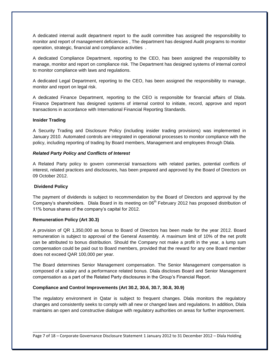A dedicated internal audit department report to the audit committee has assigned the responsibility to monitor and report of management deficiencies , The department has designed Audit programs to monitor operation, strategic, financial and compliance activities .

A dedicated Compliance Department, reporting to the CEO, has been assigned the responsibility to manage, monitor and report on compliance risk. The Department has designed systems of internal control to monitor compliance with laws and regulations.

A dedicated Legal Department, reporting to the CEO, has been assigned the responsibility to manage, monitor and report on legal risk.

A dedicated Finance Department, reporting to the CEO is responsible for financial affairs of Dlala. Finance Department has designed systems of internal control to initiate, record, approve and report transactions in accordance with International Financial Reporting Standards.

#### **Insider Trading**

A Security Trading and Disclosure Policy (including insider trading provisions) was implemented in January 2010. Automated controls are integrated in operational processes to monitor compliance with the policy, including reporting of trading by Board members, Management and employees through Dlala.

#### *Related Party Policy and Conflicts of Interest*

A Related Party policy to govern commercial transactions with related parties, potential conflicts of interest, related practices and disclosures, has been prepared and approved by the Board of Directors on 09 October 2012.

#### **Dividend Policy**

The payment of dividends is subject to recommendation by the Board of Directors and approval by the Company's shareholders.Dlala Board in its meeting on 06th February 2012 has proposed distribution of 11% bonus shares of the company's capital for 2012.

#### **Remuneration Policy (Art 30.3)**

A provision of QR 1,350,000 as bonus to Board of Directors has been made for the year 2012. Board remuneration is subject to approval of the General Assembly. A maximum limit of 10% of the net profit can be attributed to bonus distribution. Should the Company not make a profit in the year, a lump sum compensation could be paid out to Board members, provided that the reward for any one Board member does not exceed QAR 100,000 per year.

The Board determines Senior Management compensation. The Senior Management compensation is composed of a salary and a performance related bonus. Dlala discloses Board and Senior Management compensation as a part of the Related Party disclosures in the Group's Financial Report.

#### **Compliance and Control Improvements (Art 30.2, 30.6, 30.7, 30.8, 30.9)**

The regulatory environment in Qatar is subject to frequent changes. Dlala monitors the regulatory changes and consistently seeks to comply with all new or changed laws and regulations. In addition, Dlala maintains an open and constructive dialogue with regulatory authorities on areas for further improvement.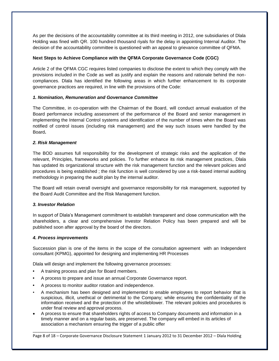As per the decisions of the accountability committee at its third meeting in 2012, one subsidiaries of Dlala Holding was fined with QR. 100 hundred thousand riyals for the delay in appointing Internal Auditor. The decision of the accountability committee is questioned with an appeal to grievance committee of QFMA.

#### **Next Steps to Achieve Compliance with the QFMA Corporate Governance Code (CGC)**

Article 2 of the QFMA CGC requires listed companies to disclose the extent to which they comply with the provisions included in the Code as well as justify and explain the reasons and rationale behind the noncompliances. Dlala has identified the following areas in which further enhancement to its corporate governance practices are required, in line with the provisions of the Code:

#### *1. Nomination, Remuneration and Governance Committee*

The Committee, in co-operation with the Chairman of the Board, will conduct annual evaluation of the Board performance including assessment of the performance of the Board and senior management in implementing the Internal Control systems and identification of the number of times when the Board was notified of control issues (including risk management) and the way such issues were handled by the Board**.** 

#### *2. Risk Management*

The BOD assumes full responsibility for the development of strategic risks and the application of the relevant, Principles, frameworks and policies. To further enhance its risk management practices, Dlala has updated its organizational structure with the risk management function and the relevant policies and procedures is being established ; the risk function is well considered by use a risk-based internal auditing methodology in preparing the audit plan by the internal auditor.

The Board will retain overall oversight and governance responsibility for risk management, supported by the Board Audit Committee and the Risk Management function.

#### *3. Investor Relation*

In support of Dlala's Management commitment to establish transparent and close communication with the shareholders, a clear and comprehensive Investor Relation Policy has been prepared and will be published soon after approval by the board of the directors.

#### *4. Process improvements*

Succession plan is one of the items in the scope of the consultation agreement with an Independent consultant (KPMG), appointed for designing and implementing HR Processes

Dlala will design and implement the following governance processes:

- **•** A training process and plan for Board members.
- **•** A process to prepare and issue an annual Corporate Governance report.
- **•** A process to monitor auditor rotation and independence.
- A mechanism has been designed and implemented to enable employees to report behavior that is suspicious, illicit, unethical or detrimental to the Company; while ensuring the confidentiality of the information received and the protection of the whistleblower. The relevant policies and procedures is under final review and approval process.
- A process to ensure that shareholders rights of access to Company documents and information in a timely manner and on a regular basis, are preserved. The company will embed in its articles of association a mechanism ensuring the trigger of a public offer

\_\_\_\_\_\_\_\_\_\_\_\_\_\_\_\_\_\_\_\_\_\_\_\_\_\_\_\_\_\_\_\_\_\_\_\_\_\_\_\_\_\_\_\_\_\_\_\_\_\_\_\_\_\_\_\_\_\_\_\_\_\_\_\_\_\_\_\_\_\_\_\_\_\_\_\_\_\_\_\_\_\_\_\_\_\_\_\_\_\_\_ Page 8 of 18 – Corporate Governance Disclosure Statement 1 January 2012 to 31 December 2012 – Dlala Holding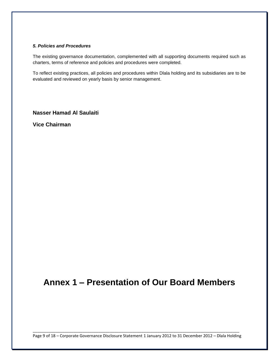#### *5. Policies and Procedures*

The existing governance documentation, complemented with all supporting documents required such as charters, terms of reference and policies and procedures were completed.

To reflect existing practices, all policies and procedures within Dlala holding and its subsidiaries are to be evaluated and reviewed on yearly basis by senior management.

**Nasser Hamad Al Saulaiti**

**Vice Chairman**

# **Annex 1 – Presentation of Our Board Members**

\_\_\_\_\_\_\_\_\_\_\_\_\_\_\_\_\_\_\_\_\_\_\_\_\_\_\_\_\_\_\_\_\_\_\_\_\_\_\_\_\_\_\_\_\_\_\_\_\_\_\_\_\_\_\_\_\_\_\_\_\_\_\_\_\_\_\_\_\_\_\_\_\_\_\_\_\_\_\_\_\_\_\_\_\_\_\_\_\_\_\_ Page 9 of 18 – Corporate Governance Disclosure Statement 1 January 2012 to 31 December 2012 – Dlala Holding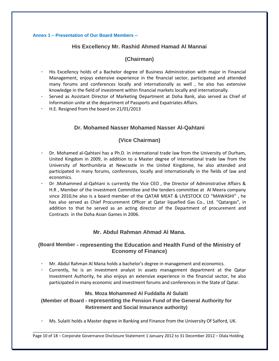#### **Annex 1 – Presentation of Our Board Members –**

# **His Excellency Mr. Rashid Ahmed Hamad Al Mannai**

# **(Chairman)**

- His Excellency holds of a Bachelor degree of Business Administration with major in Financial Management, enjoys extensive experience in the financial sector, participated and attended many forums and conferences locally and internationally as well , he also has extensive knowledge in the field of investment within financial markets locally and internationally.
- Served as Assistant Director of Marketing Department at Doha Bank, also served as Chief of Information unite at the department of Passports and Expatriates Affairs.
- H.E. Resigned from the board on 21/01/2013

# **Dr. Mohamed Nasser Mohamed Nasser Al-Qahtani**

# **(Vice Chairman)**

- Dr. Mohamed al-Qahtani has a Ph.D. in international trade law from the University of Durham, United Kingdom in 2009, in addition to a Master degree of international trade law from the University of Northumbria at Newcastle in the United Kingdome, he also attended and participated in many forums, conferences, locally and internationally in the fields of law and economics.
- Dr .Mohammed al-Qahtani is currently the Vice CEO , the Director of Administrative Affairs & H.R , Member of the Investment Committee and the tenders committee at Al Meera company since 2010,he also is a board member of the QATAR MEAT & LIVESTOCK CO "MAWASHI" , he has also served as Chief Procurement Officer at Qatar liquefied Gas Co., Ltd. "Qatargas", in addition to that he served as an acting director of the Department of procurement and Contracts in the Doha Asian Games in 2006.

# **Mr. Abdul Rahman Ahmad Al Mana.**

# **(Board Member - representing the Education and Health Fund of the Ministry of Economy of Finance)**

- Mr. Abdul Rahman Al Mana holds a bachelor's degree in management and economics.
- Currently, he is an investment analyst in assets management department at the Qatar Investment Authority, he also enjoys an extensive experience in the financial sector, he also participated in many economic and investment forums and conferences in the State of Qatar.

#### **Ms. Moza Mohammed Al Fuddalla Al Sulaiti**

**(Member of Board - representing the Pension Fund of the General Authority for Retirement and Social Insurance authority)**

- Ms. Sulaiti holds a Master degree in Banking and Finance from the University Of Salford, UK.